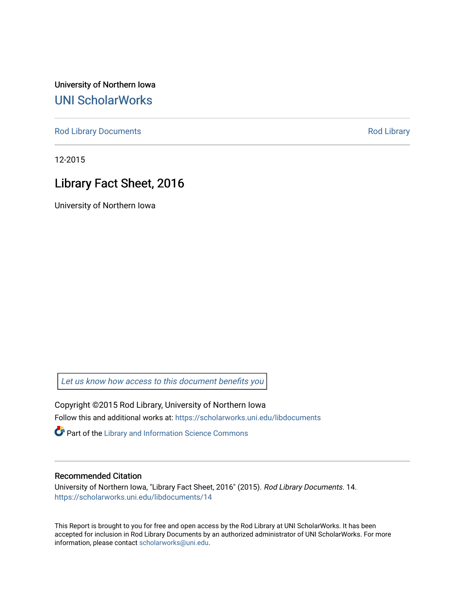University of Northern Iowa [UNI ScholarWorks](https://scholarworks.uni.edu/) 

[Rod Library Documents](https://scholarworks.uni.edu/libdocuments) **[Rod Library](https://scholarworks.uni.edu/lib) Rod Library** 

12-2015

# Library Fact Sheet, 2016

University of Northern Iowa

[Let us know how access to this document benefits you](https://scholarworks.uni.edu/feedback_form.html) 

Copyright ©2015 Rod Library, University of Northern Iowa Follow this and additional works at: [https://scholarworks.uni.edu/libdocuments](https://scholarworks.uni.edu/libdocuments?utm_source=scholarworks.uni.edu%2Flibdocuments%2F14&utm_medium=PDF&utm_campaign=PDFCoverPages) 

**Part of the Library and Information Science Commons** 

#### Recommended Citation

University of Northern Iowa, "Library Fact Sheet, 2016" (2015). Rod Library Documents. 14. [https://scholarworks.uni.edu/libdocuments/14](https://scholarworks.uni.edu/libdocuments/14?utm_source=scholarworks.uni.edu%2Flibdocuments%2F14&utm_medium=PDF&utm_campaign=PDFCoverPages)

This Report is brought to you for free and open access by the Rod Library at UNI ScholarWorks. It has been accepted for inclusion in Rod Library Documents by an authorized administrator of UNI ScholarWorks. For more information, please contact [scholarworks@uni.edu.](mailto:scholarworks@uni.edu)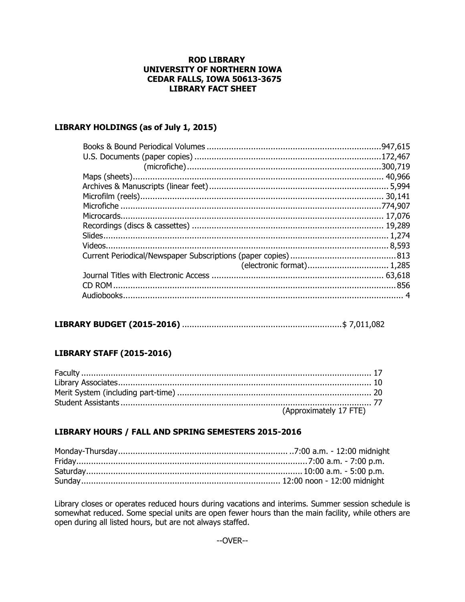### **ROD LIBRARY** UNIVERSITY OF NORTHERN IOWA **CEDAR FALLS, IOWA 50613-3675 LIBRARY FACT SHEET**

### LIBRARY HOLDINGS (as of July 1, 2015)

# 

### **LIBRARY STAFF (2015-2016)**

| (Approximately 17 FTE) |
|------------------------|

### LIBRARY HOURS / FALL AND SPRING SEMESTERS 2015-2016

Library closes or operates reduced hours during vacations and interims. Summer session schedule is somewhat reduced. Some special units are open fewer hours than the main facility, while others are open during all listed hours, but are not always staffed.